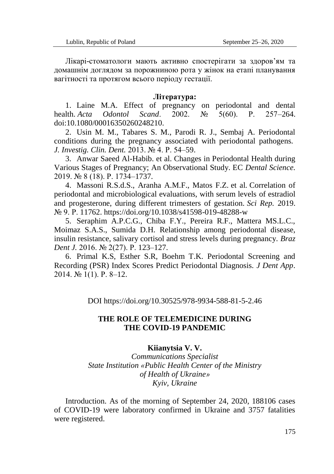Лікарі-стоматологи мають активно спостерігати за здоров'ям та домашнім доглядом за порожниною рота у жінок на етапі планування вагітності та протягом всього періоду гестації.

## **Література:**

1. Laine M.A. Effect of pregnancy on periodontal and dental health. *Acta Odontol Scand*. 2002. № 5(60). Р. 257–264. doi:10.1080/00016350260248210.

2. Usin M. M., Tabares S. M., Parodi R. J., Sembaj A. Periodontal conditions during the pregnancy associated with periodontal pathogens. *J. Investig. Clin. Dent.* 2013. № 4. Р. 54–59.

3. Anwar Saeed Al-Habib. et al. Changes in Periodontal Health during Various Stages of Pregnancy; An Observational Study. EC *Dental Science.*  2019. № 8 (18). Р. 1734–1737.

4. Massoni R.S.d.S., Aranha A.M.F., Matos F.Z. et al*.* Correlation of periodontal and microbiological evaluations, with serum levels of estradiol and progesterone, during different trimesters of gestation. *Sci Rep.* 2019. № 9. Р. 11762. https://doi.org/10.1038/s41598-019-48288-w

5. Seraphim A.P.C.G., Chiba F.Y., Pereira R.F., Mattera MS.L.C., Moimaz S.A.S., Sumida D.H. Relationship among periodontal disease, insulin resistance, salivary cortisol and stress levels during pregnancy. *Braz Dent J.* 2016. № 2(27). Р. 123–127.

6. Primal K.S, Esther S.R, Boehm T.K. Periodontal Screening and Recording (PSR) Index Scores Predict Periodontal Diagnosis. *J Dent App*. 2014. № 1(1). Р. 8–12.

DOI https://doi.org/10.30525/978-9934-588-81-5-2.46

## **THE ROLE OF TELEMEDICINE DURING THE COVID-19 PANDEMIC**

## **Kiianytsia V. V.**

*Communications Specialist State Institution «Public Health Center of the Ministry of Health of Ukraine» Kyiv, Ukraine*

Introduction. As of the morning of September 24, 2020, 188106 cases of COVID-19 were laboratory confirmed in Ukraine and 3757 fatalities were registered.